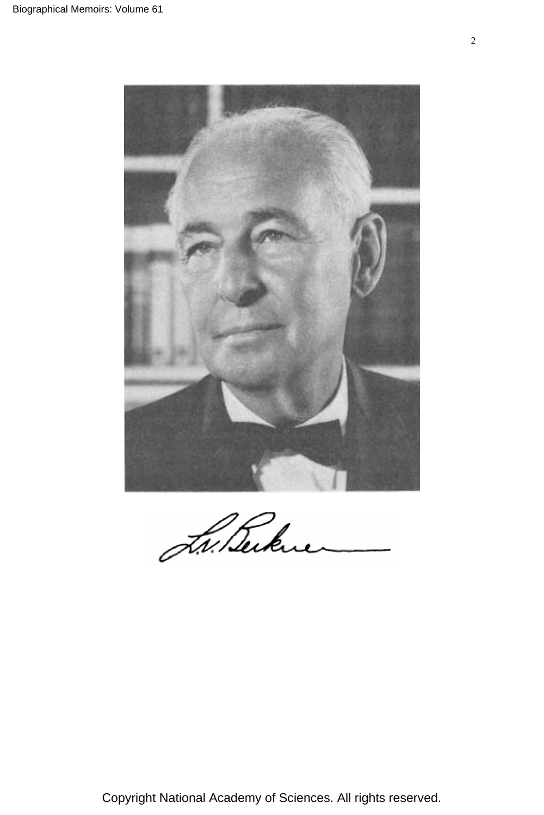

Fr. Bukue

Copyright National Academy of Sciences. All rights reserved.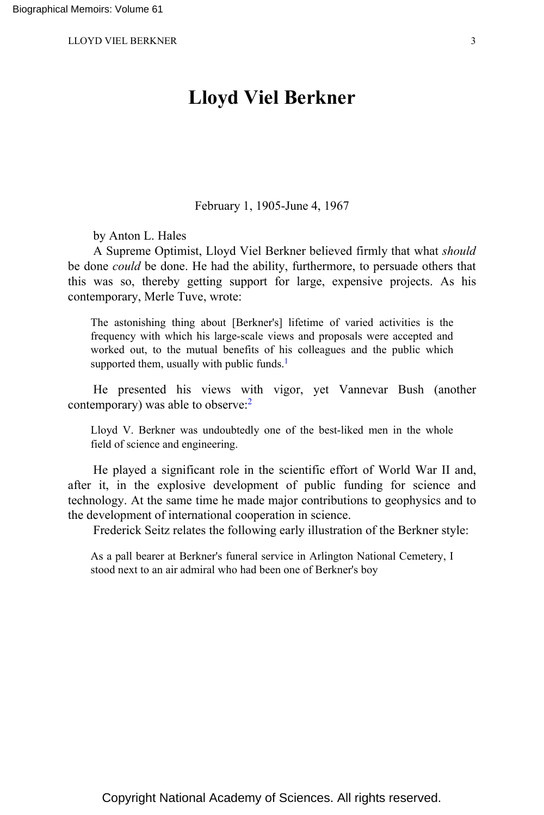# **Lloyd Viel Berkner**

## February 1, 1905-June 4, 1967

by Anton L. Hales

A Supreme Optimist, Lloyd Viel Berkner believed firmly that what *should* be done *could* be done. He had the ability, furthermore, to persuade others that this was so, thereby getting support for large, expensive projects. As his contemporary, Merle Tuve, wrote:

The astonishing thing about [Berkner's] lifetime of varied activities is the frequency with which his large-scale views and proposals were accepted and worked out, to the mutual benefits of his colleagues and the public which supported them, usually with public funds.<sup>[1](#page-19-0)</sup>

He presented his views with vigor, yet Vannevar Bush (another contemporary) was able to observe:[2](#page-19-0)

Lloyd V. Berkner was undoubtedly one of the best-liked men in the whole field of science and engineering.

He played a significant role in the scientific effort of World War II and, after it, in the explosive development of public funding for science and technology. At the same time he made major contributions to geophysics and to the development of international cooperation in science.

Frederick Seitz relates the following early illustration of the Berkner style:

As a pall bearer at Berkner's funeral service in Arlington National Cemetery, I stood next to an air admiral who had been one of Berkner's boy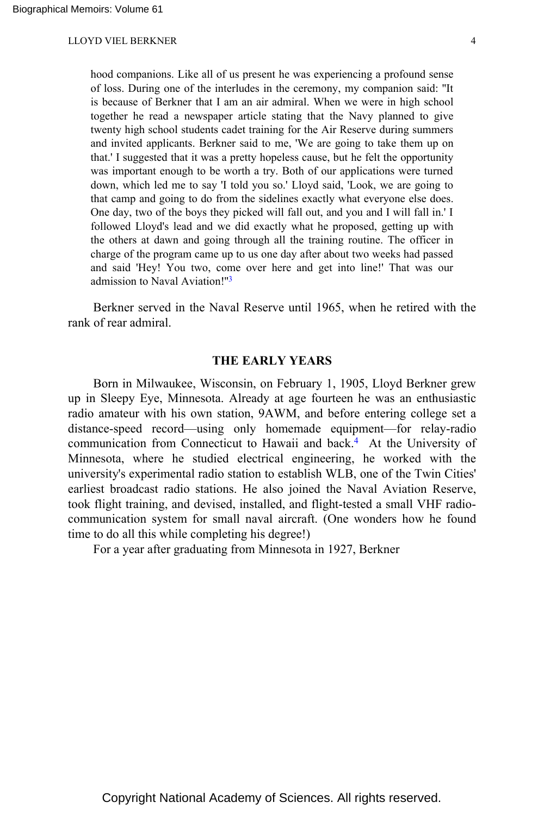hood companions. Like all of us present he was experiencing a profound sense of loss. During one of the interludes in the ceremony, my companion said: ''It is because of Berkner that I am an air admiral. When we were in high school together he read a newspaper article stating that the Navy planned to give twenty high school students cadet training for the Air Reserve during summers and invited applicants. Berkner said to me, 'We are going to take them up on that.' I suggested that it was a pretty hopeless cause, but he felt the opportunity was important enough to be worth a try. Both of our applications were turned down, which led me to say 'I told you so.' Lloyd said, 'Look, we are going to that camp and going to do from the sidelines exactly what everyone else does. One day, two of the boys they picked will fall out, and you and I will fall in.' I followed Lloyd's lead and we did exactly what he proposed, getting up with the others at dawn and going through all the training routine. The officer in charge of the program came up to us one day after about two weeks had passed and said 'Hey! You two, come over here and get into line!' That was our admission to Naval Aviation!'['3](#page-19-0)

Berkner served in the Naval Reserve until 1965, when he retired with the rank of rear admiral.

## **THE EARLY YEARS**

Born in Milwaukee, Wisconsin, on February 1, 1905, Lloyd Berkner grew up in Sleepy Eye, Minnesota. Already at age fourteen he was an enthusiastic radio amateur with his own station, 9AWM, and before entering college set a distance-speed record—using only homemade equipment—for relay-radio communication from Connecticut to Hawaii and back.<sup>4</sup> At the University of Minnesota, where he studied electrical engineering, he worked with the university's experimental radio station to establish WLB, one of the Twin Cities' earliest broadcast radio stations. He also joined the Naval Aviation Reserve, took flight training, and devised, installed, and flight-tested a small VHF radiocommunication system for small naval aircraft. (One wonders how he found time to do all this while completing his degree!)

For a year after graduating from Minnesota in 1927, Berkner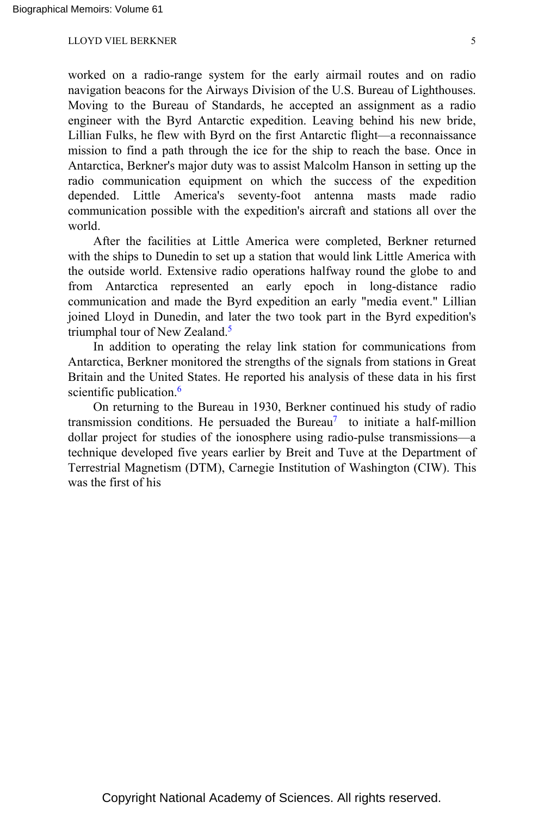worked on a radio-range system for the early airmail routes and on radio navigation beacons for the Airways Division of the U.S. Bureau of Lighthouses. Moving to the Bureau of Standards, he accepted an assignment as a radio engineer with the Byrd Antarctic expedition. Leaving behind his new bride, Lillian Fulks, he flew with Byrd on the first Antarctic flight—a reconnaissance mission to find a path through the ice for the ship to reach the base. Once in Antarctica, Berkner's major duty was to assist Malcolm Hanson in setting up the radio communication equipment on which the success of the expedition depended. Little America's seventy-foot antenna masts made radio communication possible with the expedition's aircraft and stations all over the world.

After the facilities at Little America were completed, Berkner returned with the ships to Dunedin to set up a station that would link Little America with the outside world. Extensive radio operations halfway round the globe to and from Antarctica represented an early epoch in long-distance radio communication and made the Byrd expedition an early "media event." Lillian joined Lloyd in Dunedin, and later the two took part in the Byrd expedition's triumphal tour of New Zealand.<sup>[5](#page-20-0)</sup>

In addition to operating the relay link station for communications from Antarctica, Berkner monitored the strengths of the signals from stations in Great Britain and the United States. He reported his analysis of these data in his first scientific publication.<sup>[6](#page-20-0)</sup>

On returning to the Bureau in 1930, Berkner continued his study of radio transmission conditions. He persuaded the Bureau<sup>7</sup> to initiate a half-million dollar project for studies of the ionosphere using radio-pulse transmissions—a technique developed five years earlier by Breit and Tuve at the Department of Terrestrial Magnetism (DTM), Carnegie Institution of Washington (CIW). This was the first of his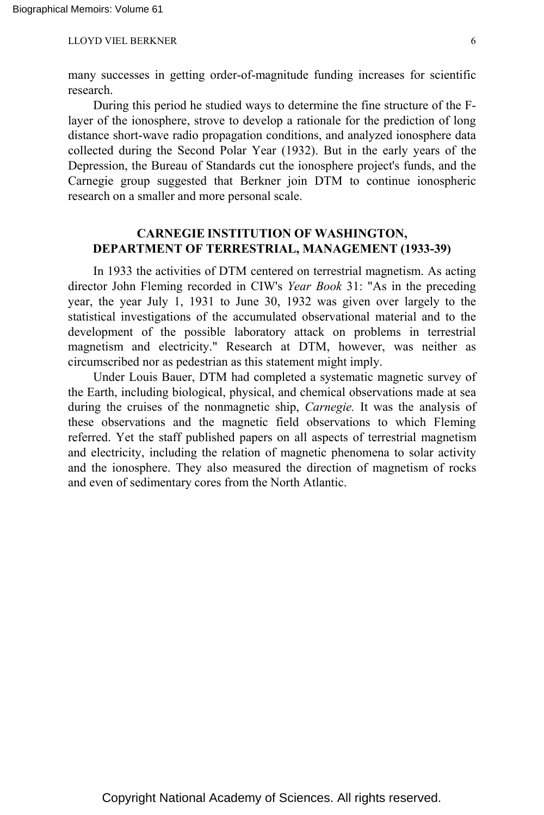many successes in getting order-of-magnitude funding increases for scientific research.

During this period he studied ways to determine the fine structure of the Flayer of the ionosphere, strove to develop a rationale for the prediction of long distance short-wave radio propagation conditions, and analyzed ionosphere data collected during the Second Polar Year (1932). But in the early years of the Depression, the Bureau of Standards cut the ionosphere project's funds, and the Carnegie group suggested that Berkner join DTM to continue ionospheric research on a smaller and more personal scale.

# **CARNEGIE INSTITUTION OF WASHINGTON, DEPARTMENT OF TERRESTRIAL, MANAGEMENT (1933-39)**

In 1933 the activities of DTM centered on terrestrial magnetism. As acting director John Fleming recorded in CIW's *Year Book* 31: "As in the preceding year, the year July 1, 1931 to June 30, 1932 was given over largely to the statistical investigations of the accumulated observational material and to the development of the possible laboratory attack on problems in terrestrial magnetism and electricity." Research at DTM, however, was neither as circumscribed nor as pedestrian as this statement might imply.

Under Louis Bauer, DTM had completed a systematic magnetic survey of the Earth, including biological, physical, and chemical observations made at sea during the cruises of the nonmagnetic ship, *Carnegie.* It was the analysis of these observations and the magnetic field observations to which Fleming referred. Yet the staff published papers on all aspects of terrestrial magnetism and electricity, including the relation of magnetic phenomena to solar activity and the ionosphere. They also measured the direction of magnetism of rocks and even of sedimentary cores from the North Atlantic.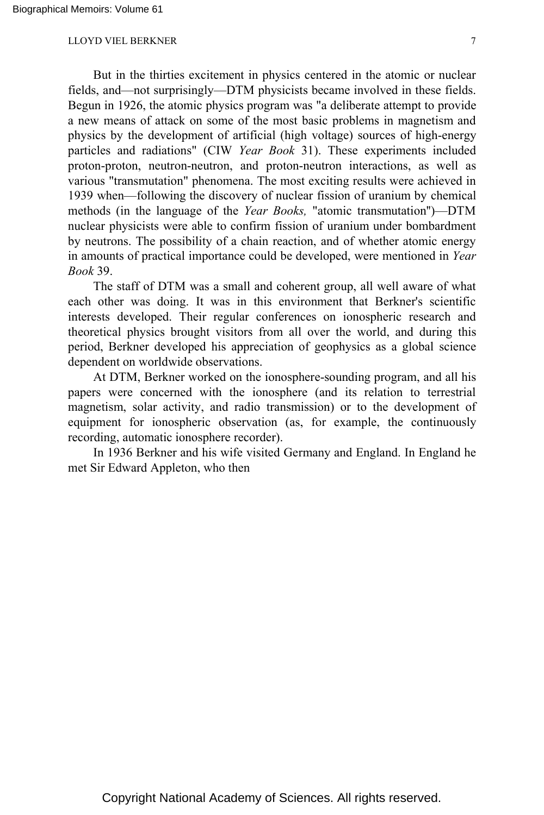But in the thirties excitement in physics centered in the atomic or nuclear fields, and—not surprisingly—DTM physicists became involved in these fields. Begun in 1926, the atomic physics program was "a deliberate attempt to provide a new means of attack on some of the most basic problems in magnetism and physics by the development of artificial (high voltage) sources of high-energy particles and radiations" (CIW *Year Book* 31). These experiments included proton-proton, neutron-neutron, and proton-neutron interactions, as well as various "transmutation" phenomena. The most exciting results were achieved in 1939 when—following the discovery of nuclear fission of uranium by chemical methods (in the language of the *Year Books,* "atomic transmutation'')—DTM nuclear physicists were able to confirm fission of uranium under bombardment by neutrons. The possibility of a chain reaction, and of whether atomic energy in amounts of practical importance could be developed, were mentioned in *Year Book* 39.

The staff of DTM was a small and coherent group, all well aware of what each other was doing. It was in this environment that Berkner's scientific interests developed. Their regular conferences on ionospheric research and theoretical physics brought visitors from all over the world, and during this period, Berkner developed his appreciation of geophysics as a global science dependent on worldwide observations.

At DTM, Berkner worked on the ionosphere-sounding program, and all his papers were concerned with the ionosphere (and its relation to terrestrial magnetism, solar activity, and radio transmission) or to the development of equipment for ionospheric observation (as, for example, the continuously recording, automatic ionosphere recorder).

In 1936 Berkner and his wife visited Germany and England. In England he met Sir Edward Appleton, who then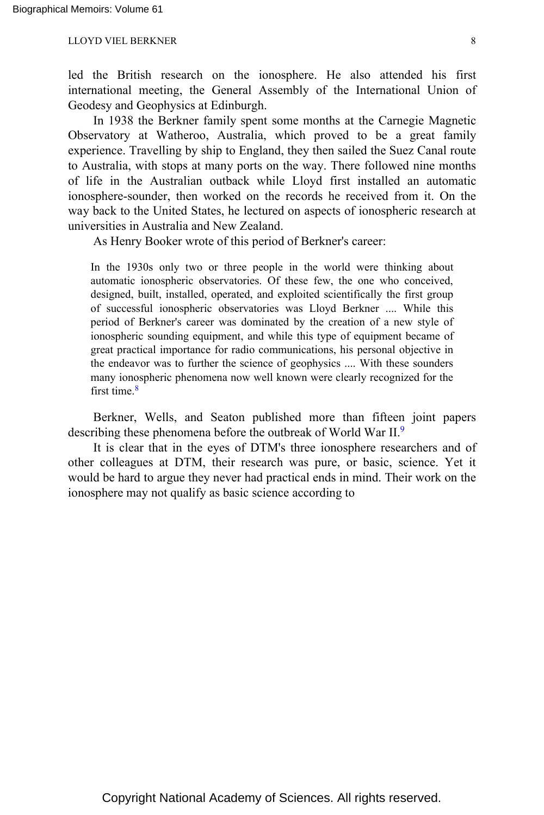led the British research on the ionosphere. He also attended his first international meeting, the General Assembly of the International Union of Geodesy and Geophysics at Edinburgh.

In 1938 the Berkner family spent some months at the Carnegie Magnetic Observatory at Watheroo, Australia, which proved to be a great family experience. Travelling by ship to England, they then sailed the Suez Canal route to Australia, with stops at many ports on the way. There followed nine months of life in the Australian outback while Lloyd first installed an automatic ionosphere-sounder, then worked on the records he received from it. On the way back to the United States, he lectured on aspects of ionospheric research at universities in Australia and New Zealand.

As Henry Booker wrote of this period of Berkner's career:

In the 1930s only two or three people in the world were thinking about automatic ionospheric observatories. Of these few, the one who conceived, designed, built, installed, operated, and exploited scientifically the first group of successful ionospheric observatories was Lloyd Berkner .... While this period of Berkner's career was dominated by the creation of a new style of ionospheric sounding equipment, and while this type of equipment became of great practical importance for radio communications, his personal objective in the endeavor was to further the science of geophysics .... With these sounders many ionospheric phenomena now well known were clearly recognized for the first time.<sup>[8](#page-20-0)</sup>

Berkner, Wells, and Seaton published more than fifteen joint papers describing these phenomena before the outbreak of World War II.<sup>[9](#page-20-0)</sup>

It is clear that in the eyes of DTM's three ionosphere researchers and of other colleagues at DTM, their research was pure, or basic, science. Yet it would be hard to argue they never had practical ends in mind. Their work on the ionosphere may not qualify as basic science according to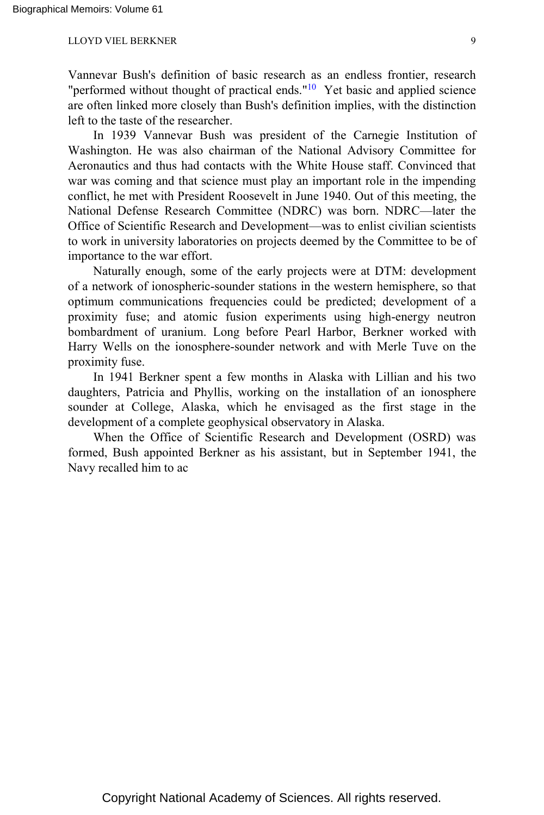Vannevar Bush's definition of basic research as an endless frontier, research "performed without thought of practical ends."<sup>10</sup> Yet basic and applied science are often linked more closely than Bush's definition implies, with the distinction left to the taste of the researcher.

In 1939 Vannevar Bush was president of the Carnegie Institution of Washington. He was also chairman of the National Advisory Committee for Aeronautics and thus had contacts with the White House staff. Convinced that war was coming and that science must play an important role in the impending conflict, he met with President Roosevelt in June 1940. Out of this meeting, the National Defense Research Committee (NDRC) was born. NDRC—later the Office of Scientific Research and Development—was to enlist civilian scientists to work in university laboratories on projects deemed by the Committee to be of importance to the war effort.

Naturally enough, some of the early projects were at DTM: development of a network of ionospheric-sounder stations in the western hemisphere, so that optimum communications frequencies could be predicted; development of a proximity fuse; and atomic fusion experiments using high-energy neutron bombardment of uranium. Long before Pearl Harbor, Berkner worked with Harry Wells on the ionosphere-sounder network and with Merle Tuve on the proximity fuse.

In 1941 Berkner spent a few months in Alaska with Lillian and his two daughters, Patricia and Phyllis, working on the installation of an ionosphere sounder at College, Alaska, which he envisaged as the first stage in the development of a complete geophysical observatory in Alaska.

When the Office of Scientific Research and Development (OSRD) was formed, Bush appointed Berkner as his assistant, but in September 1941, the Navy recalled him to ac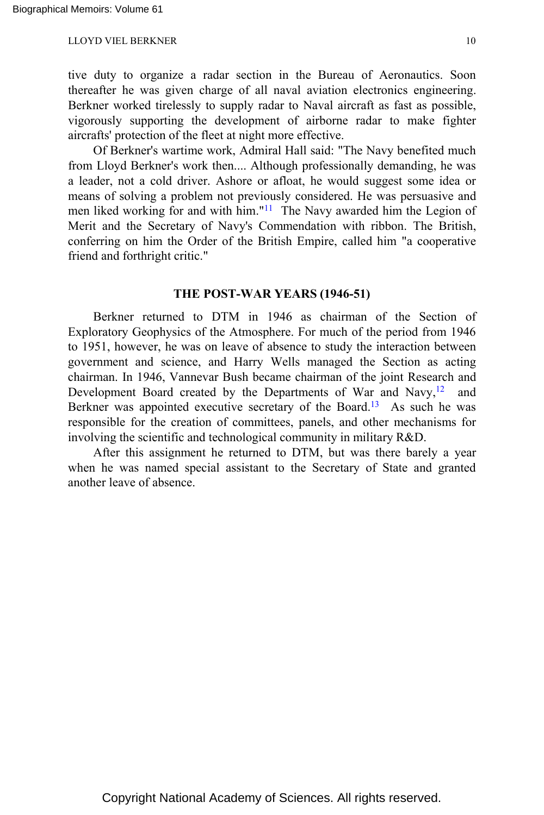tive duty to organize a radar section in the Bureau of Aeronautics. Soon thereafter he was given charge of all naval aviation electronics engineering. Berkner worked tirelessly to supply radar to Naval aircraft as fast as possible, vigorously supporting the development of airborne radar to make fighter aircrafts' protection of the fleet at night more effective.

Of Berkner's wartime work, Admiral Hall said: "The Navy benefited much from Lloyd Berkner's work then.... Although professionally demanding, he was a leader, not a cold driver. Ashore or afloat, he would suggest some idea or means of solving a problem not previously considered. He was persuasive and men liked working for and with him."<sup>11</sup> The Navy awarded him the Legion of Merit and the Secretary of Navy's Commendation with ribbon. The British, conferring on him the Order of the British Empire, called him "a cooperative friend and forthright critic."

## **THE POST-WAR YEARS (1946-51)**

Berkner returned to DTM in 1946 as chairman of the Section of Exploratory Geophysics of the Atmosphere. For much of the period from 1946 to 1951, however, he was on leave of absence to study the interaction between government and science, and Harry Wells managed the Section as acting chairman. In 1946, Vannevar Bush became chairman of the joint Research and Development Board created by the Departments of War and Navy, $12$  and Berkner was appointed executive secretary of the Board.<sup>13</sup> As such he was responsible for the creation of committees, panels, and other mechanisms for involving the scientific and technological community in military R&D.

After this assignment he returned to DTM, but was there barely a year when he was named special assistant to the Secretary of State and granted another leave of absence.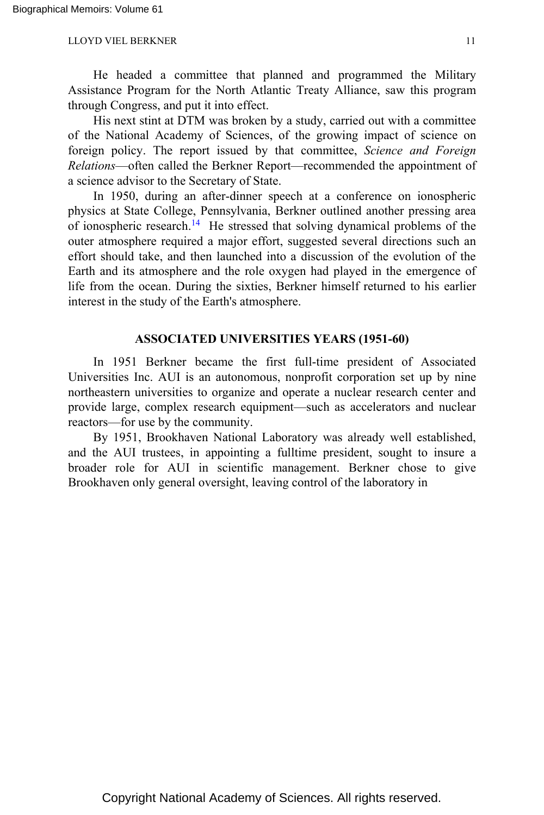He headed a committee that planned and programmed the Military Assistance Program for the North Atlantic Treaty Alliance, saw this program through Congress, and put it into effect.

His next stint at DTM was broken by a study, carried out with a committee of the National Academy of Sciences, of the growing impact of science on foreign policy. The report issued by that committee, *Science and Foreign Relations*—often called the Berkner Report—recommended the appointment of a science advisor to the Secretary of State.

In 1950, during an after-dinner speech at a conference on ionospheric physics at State College, Pennsylvania, Berkner outlined another pressing area of ionospheric research.[14](#page-20-0) He stressed that solving dynamical problems of the outer atmosphere required a major effort, suggested several directions such an effort should take, and then launched into a discussion of the evolution of the Earth and its atmosphere and the role oxygen had played in the emergence of life from the ocean. During the sixties, Berkner himself returned to his earlier interest in the study of the Earth's atmosphere.

# **ASSOCIATED UNIVERSITIES YEARS (1951-60)**

In 1951 Berkner became the first full-time president of Associated Universities Inc. AUI is an autonomous, nonprofit corporation set up by nine northeastern universities to organize and operate a nuclear research center and provide large, complex research equipment—such as accelerators and nuclear reactors—for use by the community.

By 1951, Brookhaven National Laboratory was already well established, and the AUI trustees, in appointing a fulltime president, sought to insure a broader role for AUI in scientific management. Berkner chose to give Brookhaven only general oversight, leaving control of the laboratory in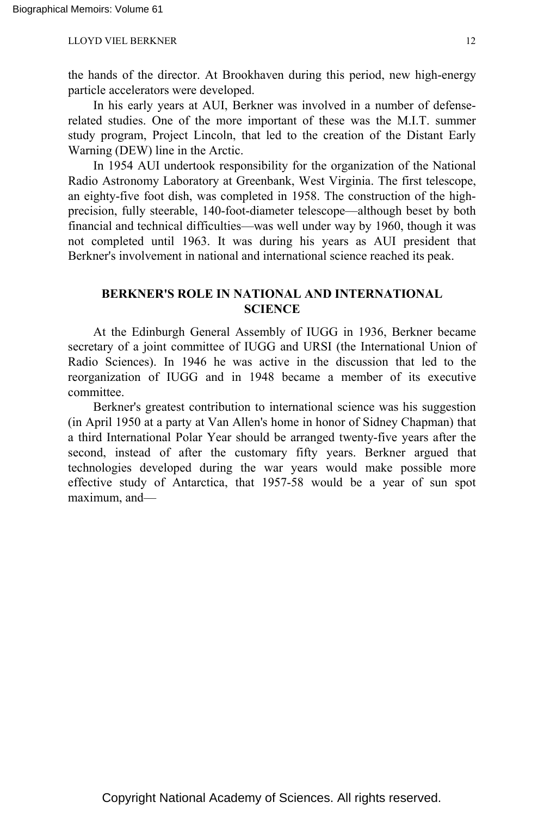the hands of the director. At Brookhaven during this period, new high-energy particle accelerators were developed.

In his early years at AUI, Berkner was involved in a number of defenserelated studies. One of the more important of these was the M.I.T. summer study program, Project Lincoln, that led to the creation of the Distant Early Warning (DEW) line in the Arctic.

In 1954 AUI undertook responsibility for the organization of the National Radio Astronomy Laboratory at Greenbank, West Virginia. The first telescope, an eighty-five foot dish, was completed in 1958. The construction of the highprecision, fully steerable, 140-foot-diameter telescope—although beset by both financial and technical difficulties—was well under way by 1960, though it was not completed until 1963. It was during his years as AUI president that Berkner's involvement in national and international science reached its peak.

# **BERKNER'S ROLE IN NATIONAL AND INTERNATIONAL SCIENCE**

At the Edinburgh General Assembly of IUGG in 1936, Berkner became secretary of a joint committee of IUGG and URSI (the International Union of Radio Sciences). In 1946 he was active in the discussion that led to the reorganization of IUGG and in 1948 became a member of its executive committee.

Berkner's greatest contribution to international science was his suggestion (in April 1950 at a party at Van Allen's home in honor of Sidney Chapman) that a third International Polar Year should be arranged twenty-five years after the second, instead of after the customary fifty years. Berkner argued that technologies developed during the war years would make possible more effective study of Antarctica, that 1957-58 would be a year of sun spot maximum, and—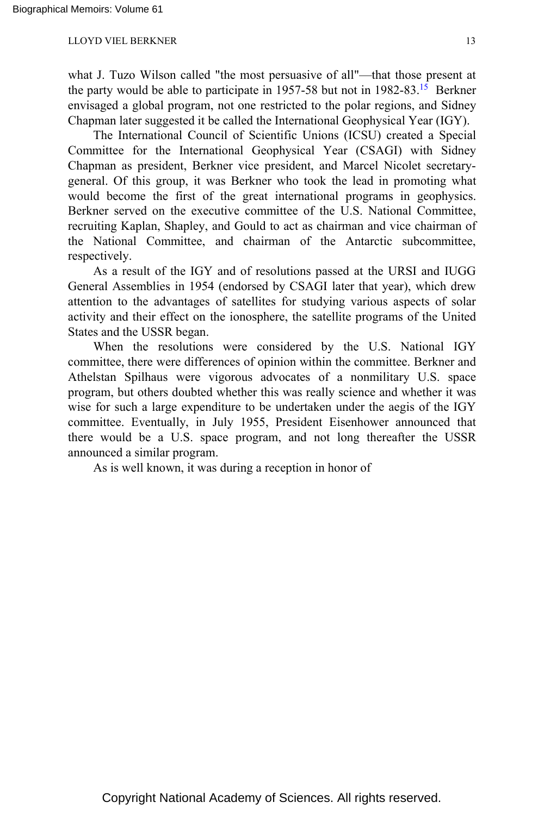what J. Tuzo Wilson called "the most persuasive of all"—that those present at the party would be able to participate in 1957-58 but not in 1982-83.<sup>15</sup> Berkner envisaged a global program, not one restricted to the polar regions, and Sidney Chapman later suggested it be called the International Geophysical Year (IGY).

The International Council of Scientific Unions (ICSU) created a Special Committee for the International Geophysical Year (CSAGI) with Sidney Chapman as president, Berkner vice president, and Marcel Nicolet secretarygeneral. Of this group, it was Berkner who took the lead in promoting what would become the first of the great international programs in geophysics. Berkner served on the executive committee of the U.S. National Committee, recruiting Kaplan, Shapley, and Gould to act as chairman and vice chairman of the National Committee, and chairman of the Antarctic subcommittee, respectively.

As a result of the IGY and of resolutions passed at the URSI and IUGG General Assemblies in 1954 (endorsed by CSAGI later that year), which drew attention to the advantages of satellites for studying various aspects of solar activity and their effect on the ionosphere, the satellite programs of the United States and the USSR began.

When the resolutions were considered by the U.S. National IGY committee, there were differences of opinion within the committee. Berkner and Athelstan Spilhaus were vigorous advocates of a nonmilitary U.S. space program, but others doubted whether this was really science and whether it was wise for such a large expenditure to be undertaken under the aegis of the IGY committee. Eventually, in July 1955, President Eisenhower announced that there would be a U.S. space program, and not long thereafter the USSR announced a similar program.

As is well known, it was during a reception in honor of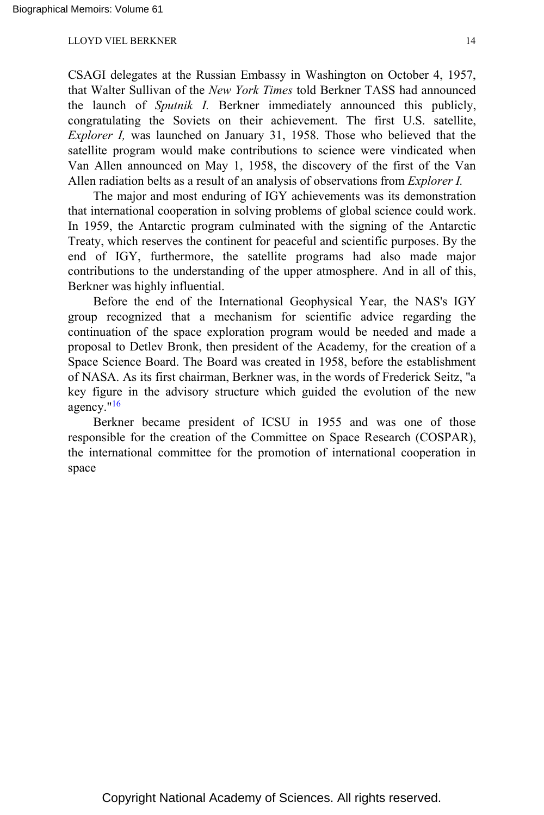CSAGI delegates at the Russian Embassy in Washington on October 4, 1957, that Walter Sullivan of the *New York Times* told Berkner TASS had announced the launch of *Sputnik I.* Berkner immediately announced this publicly, congratulating the Soviets on their achievement. The first U.S. satellite, *Explorer I,* was launched on January 31, 1958. Those who believed that the satellite program would make contributions to science were vindicated when Van Allen announced on May 1, 1958, the discovery of the first of the Van Allen radiation belts as a result of an analysis of observations from *Explorer I.*

The major and most enduring of IGY achievements was its demonstration that international cooperation in solving problems of global science could work. In 1959, the Antarctic program culminated with the signing of the Antarctic Treaty, which reserves the continent for peaceful and scientific purposes. By the end of IGY, furthermore, the satellite programs had also made major contributions to the understanding of the upper atmosphere. And in all of this, Berkner was highly influential.

Before the end of the International Geophysical Year, the NAS's IGY group recognized that a mechanism for scientific advice regarding the continuation of the space exploration program would be needed and made a proposal to Detlev Bronk, then president of the Academy, for the creation of a Space Science Board. The Board was created in 1958, before the establishment of NASA. As its first chairman, Berkner was, in the words of Frederick Seitz, ''a key figure in the advisory structure which guided the evolution of the new agency."[16](#page-20-0)

Berkner became president of ICSU in 1955 and was one of those responsible for the creation of the Committee on Space Research (COSPAR), the international committee for the promotion of international cooperation in space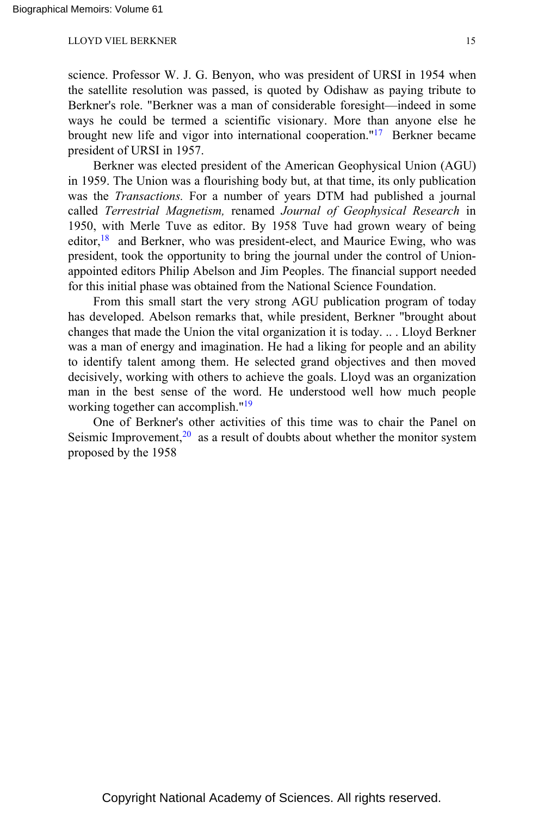science. Professor W. J. G. Benyon, who was president of URSI in 1954 when the satellite resolution was passed, is quoted by Odishaw as paying tribute to Berkner's role. "Berkner was a man of considerable foresight—indeed in some ways he could be termed a scientific visionary. More than anyone else he brought new life and vigor into international cooperation."<sup>17</sup> Berkner became president of URSI in 1957.

Berkner was elected president of the American Geophysical Union (AGU) in 1959. The Union was a flourishing body but, at that time, its only publication was the *Transactions.* For a number of years DTM had published a journal called *Terrestrial Magnetism,* renamed *Journal of Geophysical Research* in 1950, with Merle Tuve as editor. By 1958 Tuve had grown weary of being editor,  $18$  and Berkner, who was president-elect, and Maurice Ewing, who was president, took the opportunity to bring the journal under the control of Unionappointed editors Philip Abelson and Jim Peoples. The financial support needed for this initial phase was obtained from the National Science Foundation.

From this small start the very strong AGU publication program of today has developed. Abelson remarks that, while president, Berkner "brought about changes that made the Union the vital organization it is today. .. . Lloyd Berkner was a man of energy and imagination. He had a liking for people and an ability to identify talent among them. He selected grand objectives and then moved decisively, working with others to achieve the goals. Lloyd was an organization man in the best sense of the word. He understood well how much people working together can accomplish."<sup>[19](#page-20-0)</sup>

One of Berkner's other activities of this time was to chair the Panel on Seismic Improvement, $2<sup>0</sup>$  as a result of doubts about whether the monitor system proposed by the 1958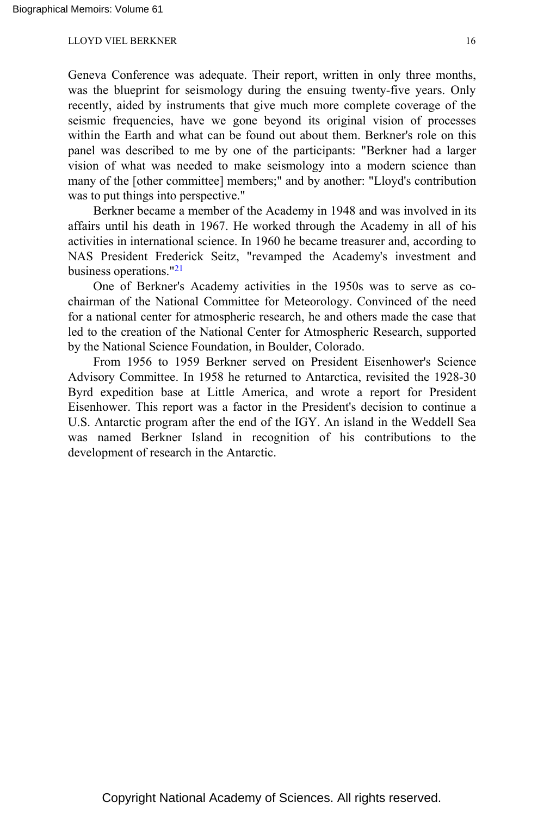Geneva Conference was adequate. Their report, written in only three months, was the blueprint for seismology during the ensuing twenty-five years. Only recently, aided by instruments that give much more complete coverage of the seismic frequencies, have we gone beyond its original vision of processes within the Earth and what can be found out about them. Berkner's role on this panel was described to me by one of the participants: "Berkner had a larger vision of what was needed to make seismology into a modern science than many of the [other committee] members;" and by another: "Lloyd's contribution was to put things into perspective."

Berkner became a member of the Academy in 1948 and was involved in its affairs until his death in 1967. He worked through the Academy in all of his activities in international science. In 1960 he became treasurer and, according to NAS President Frederick Seitz, "revamped the Academy's investment and business operations. $"^{21}$  $"^{21}$  $"^{21}$ 

One of Berkner's Academy activities in the 1950s was to serve as cochairman of the National Committee for Meteorology. Convinced of the need for a national center for atmospheric research, he and others made the case that led to the creation of the National Center for Atmospheric Research, supported by the National Science Foundation, in Boulder, Colorado.

From 1956 to 1959 Berkner served on President Eisenhower's Science Advisory Committee. In 1958 he returned to Antarctica, revisited the 1928-30 Byrd expedition base at Little America, and wrote a report for President Eisenhower. This report was a factor in the President's decision to continue a U.S. Antarctic program after the end of the IGY. An island in the Weddell Sea was named Berkner Island in recognition of his contributions to the development of research in the Antarctic.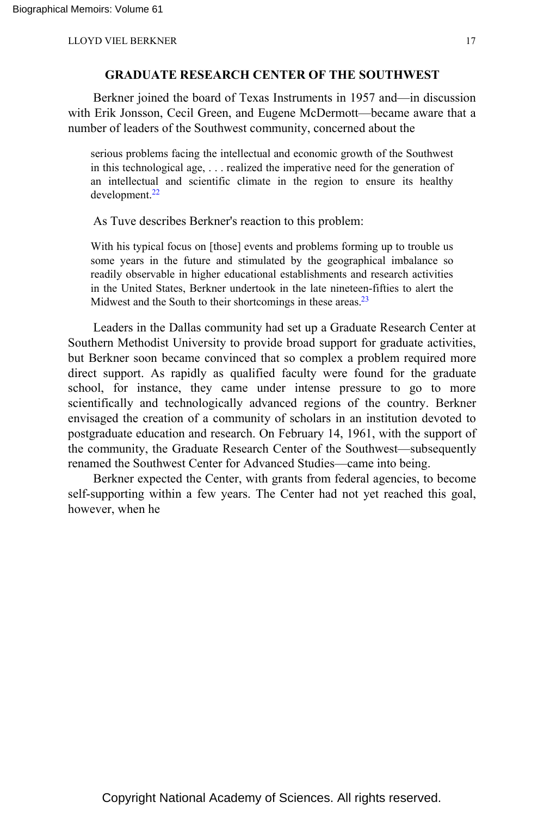# **GRADUATE RESEARCH CENTER OF THE SOUTHWEST**

Berkner joined the board of Texas Instruments in 1957 and—in discussion with Erik Jonsson, Cecil Green, and Eugene McDermott—became aware that a number of leaders of the Southwest community, concerned about the

serious problems facing the intellectual and economic growth of the Southwest in this technological age, . . . realized the imperative need for the generation of an intellectual and scientific climate in the region to ensure its healthy development.<sup>[22](#page-21-0)</sup>

As Tuve describes Berkner's reaction to this problem:

With his typical focus on [those] events and problems forming up to trouble us some years in the future and stimulated by the geographical imbalance so readily observable in higher educational establishments and research activities in the United States, Berkner undertook in the late nineteen-fifties to alert the Midwest and the South to their shortcomings in these areas. $2<sup>3</sup>$ 

Leaders in the Dallas community had set up a Graduate Research Center at Southern Methodist University to provide broad support for graduate activities, but Berkner soon became convinced that so complex a problem required more direct support. As rapidly as qualified faculty were found for the graduate school, for instance, they came under intense pressure to go to more scientifically and technologically advanced regions of the country. Berkner envisaged the creation of a community of scholars in an institution devoted to postgraduate education and research. On February 14, 1961, with the support of the community, the Graduate Research Center of the Southwest—subsequently renamed the Southwest Center for Advanced Studies—came into being.

Berkner expected the Center, with grants from federal agencies, to become self-supporting within a few years. The Center had not yet reached this goal, however, when he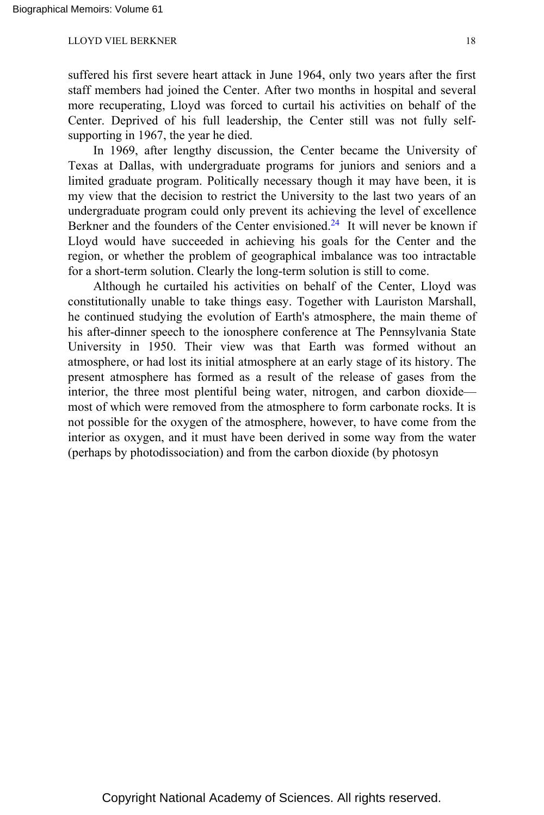suffered his first severe heart attack in June 1964, only two years after the first staff members had joined the Center. After two months in hospital and several more recuperating, Lloyd was forced to curtail his activities on behalf of the Center. Deprived of his full leadership, the Center still was not fully selfsupporting in 1967, the year he died.

In 1969, after lengthy discussion, the Center became the University of Texas at Dallas, with undergraduate programs for juniors and seniors and a limited graduate program. Politically necessary though it may have been, it is my view that the decision to restrict the University to the last two years of an undergraduate program could only prevent its achieving the level of excellence Berkner and the founders of the Center envisioned.<sup>24</sup> It will never be known if Lloyd would have succeeded in achieving his goals for the Center and the region, or whether the problem of geographical imbalance was too intractable for a short-term solution. Clearly the long-term solution is still to come.

Although he curtailed his activities on behalf of the Center, Lloyd was constitutionally unable to take things easy. Together with Lauriston Marshall, he continued studying the evolution of Earth's atmosphere, the main theme of his after-dinner speech to the ionosphere conference at The Pennsylvania State University in 1950. Their view was that Earth was formed without an atmosphere, or had lost its initial atmosphere at an early stage of its history. The present atmosphere has formed as a result of the release of gases from the interior, the three most plentiful being water, nitrogen, and carbon dioxide most of which were removed from the atmosphere to form carbonate rocks. It is not possible for the oxygen of the atmosphere, however, to have come from the interior as oxygen, and it must have been derived in some way from the water (perhaps by photodissociation) and from the carbon dioxide (by photosyn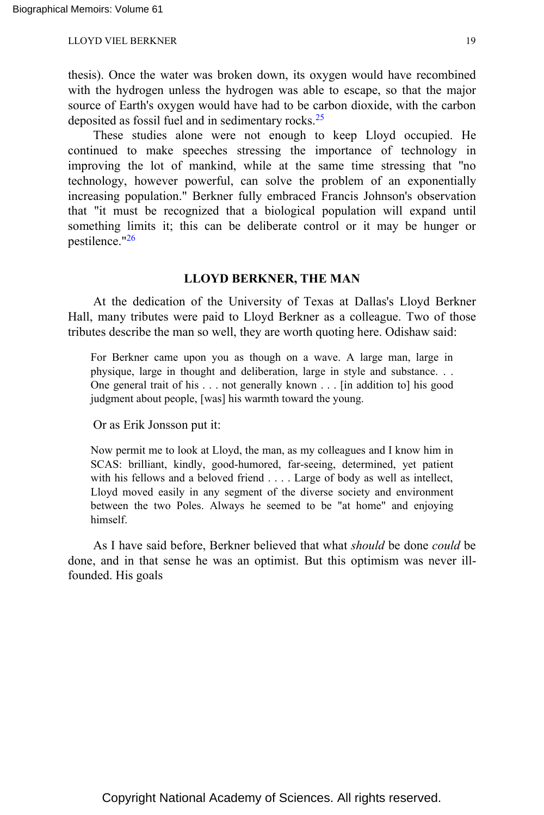thesis). Once the water was broken down, its oxygen would have recombined with the hydrogen unless the hydrogen was able to escape, so that the major source of Earth's oxygen would have had to be carbon dioxide, with the carbon deposited as fossil fuel and in sedimentary rocks.<sup>[25](#page-21-0)</sup>

These studies alone were not enough to keep Lloyd occupied. He continued to make speeches stressing the importance of technology in improving the lot of mankind, while at the same time stressing that ''no technology, however powerful, can solve the problem of an exponentially increasing population." Berkner fully embraced Francis Johnson's observation that "it must be recognized that a biological population will expand until something limits it; this can be deliberate control or it may be hunger or pestilence."[26](#page-21-0)

# **LLOYD BERKNER, THE MAN**

At the dedication of the University of Texas at Dallas's Lloyd Berkner Hall, many tributes were paid to Lloyd Berkner as a colleague. Two of those tributes describe the man so well, they are worth quoting here. Odishaw said:

For Berkner came upon you as though on a wave. A large man, large in physique, large in thought and deliberation, large in style and substance. . . One general trait of his . . . not generally known . . . [in addition to] his good judgment about people, [was] his warmth toward the young.

Or as Erik Jonsson put it:

Now permit me to look at Lloyd, the man, as my colleagues and I know him in SCAS: brilliant, kindly, good-humored, far-seeing, determined, yet patient with his fellows and a beloved friend . . . . Large of body as well as intellect, Lloyd moved easily in any segment of the diverse society and environment between the two Poles. Always he seemed to be "at home" and enjoying himself.

As I have said before, Berkner believed that what *should* be done *could* be done, and in that sense he was an optimist. But this optimism was never illfounded. His goals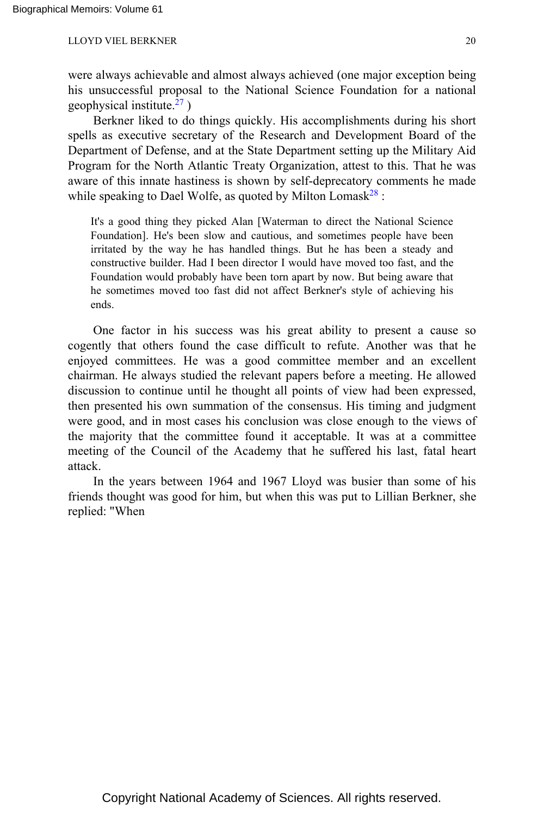were always achievable and almost always achieved (one major exception being his unsuccessful proposal to the National Science Foundation for a national geophysical institute. $27$ )

Berkner liked to do things quickly. His accomplishments during his short spells as executive secretary of the Research and Development Board of the Department of Defense, and at the State Department setting up the Military Aid Program for the North Atlantic Treaty Organization, attest to this. That he was aware of this innate hastiness is shown by self-deprecatory comments he made while speaking to Dael Wolfe, as quoted by Milton Lomask<sup>28</sup>:

It's a good thing they picked Alan [Waterman to direct the National Science Foundation]. He's been slow and cautious, and sometimes people have been irritated by the way he has handled things. But he has been a steady and constructive builder. Had I been director I would have moved too fast, and the Foundation would probably have been torn apart by now. But being aware that he sometimes moved too fast did not affect Berkner's style of achieving his ends.

One factor in his success was his great ability to present a cause so cogently that others found the case difficult to refute. Another was that he enjoyed committees. He was a good committee member and an excellent chairman. He always studied the relevant papers before a meeting. He allowed discussion to continue until he thought all points of view had been expressed, then presented his own summation of the consensus. His timing and judgment were good, and in most cases his conclusion was close enough to the views of the majority that the committee found it acceptable. It was at a committee meeting of the Council of the Academy that he suffered his last, fatal heart attack.

In the years between 1964 and 1967 Lloyd was busier than some of his friends thought was good for him, but when this was put to Lillian Berkner, she replied: "When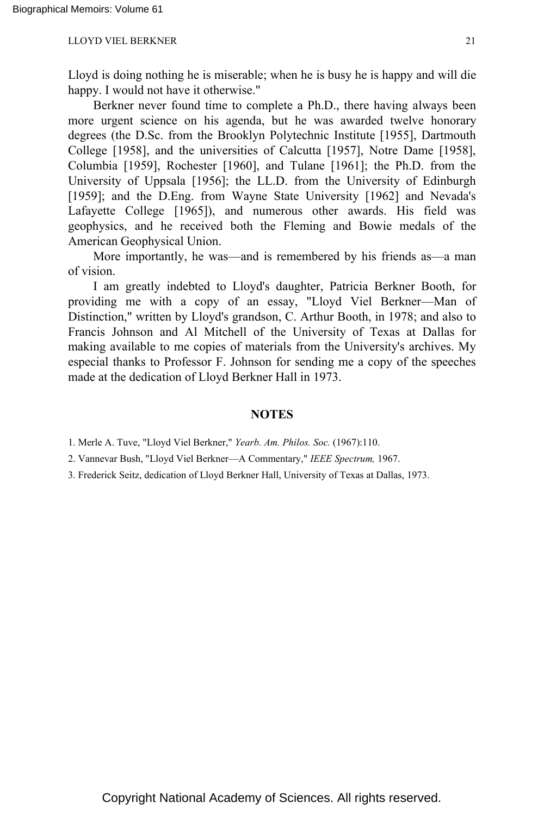<span id="page-19-0"></span>Lloyd is doing nothing he is miserable; when he is busy he is happy and will die happy. I would not have it otherwise."

Berkner never found time to complete a Ph.D., there having always been more urgent science on his agenda, but he was awarded twelve honorary degrees (the D.Sc. from the Brooklyn Polytechnic Institute [1955], Dartmouth College [1958], and the universities of Calcutta [1957], Notre Dame [1958], Columbia [1959], Rochester [1960], and Tulane [1961]; the Ph.D. from the University of Uppsala [1956]; the LL.D. from the University of Edinburgh [1959]; and the D.Eng. from Wayne State University [1962] and Nevada's Lafayette College [1965]), and numerous other awards. His field was geophysics, and he received both the Fleming and Bowie medals of the American Geophysical Union.

More importantly, he was—and is remembered by his friends as—a man of vision.

I am greatly indebted to Lloyd's daughter, Patricia Berkner Booth, for providing me with a copy of an essay, "Lloyd Viel Berkner—Man of Distinction," written by Lloyd's grandson, C. Arthur Booth, in 1978; and also to Francis Johnson and Al Mitchell of the University of Texas at Dallas for making available to me copies of materials from the University's archives. My especial thanks to Professor F. Johnson for sending me a copy of the speeches made at the dedication of Lloyd Berkner Hall in 1973.

## **NOTES**

1. Merle A. Tuve, "Lloyd Viel Berkner," *Yearb. Am. Philos. Soc.* (1967):110.

2. Vannevar Bush, "Lloyd Viel Berkner—A Commentary," *IEEE Spectrum,* 1967.

3. Frederick Seitz, dedication of Lloyd Berkner Hall, University of Texas at Dallas, 1973.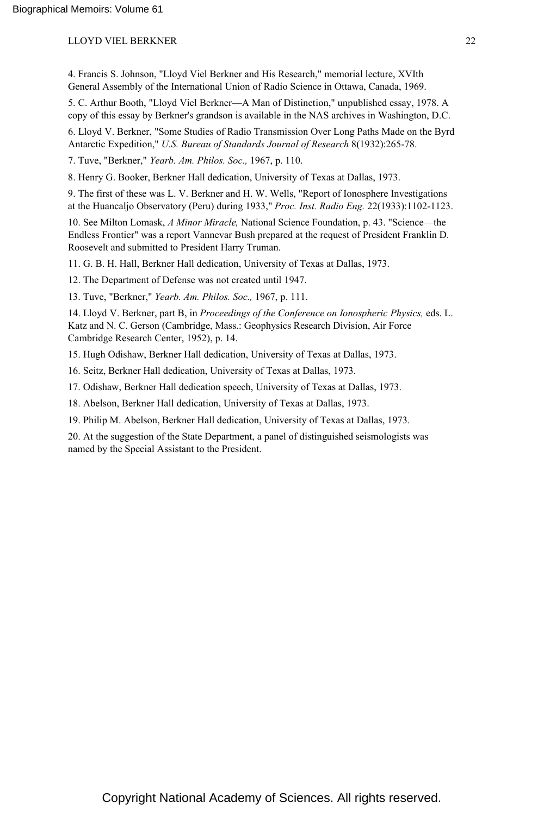<span id="page-20-0"></span>4. Francis S. Johnson, "Lloyd Viel Berkner and His Research," memorial lecture, XVIth General Assembly of the International Union of Radio Science in Ottawa, Canada, 1969.

5. C. Arthur Booth, "Lloyd Viel Berkner—A Man of Distinction," unpublished essay, 1978. A copy of this essay by Berkner's grandson is available in the NAS archives in Washington, D.C.

6. Lloyd V. Berkner, "Some Studies of Radio Transmission Over Long Paths Made on the Byrd Antarctic Expedition," *U.S. Bureau of Standards Journal of Research* 8(1932):265-78.

7. Tuve, "Berkner," *Yearb. Am. Philos. Soc.,* 1967, p. 110.

8. Henry G. Booker, Berkner Hall dedication, University of Texas at Dallas, 1973.

9. The first of these was L. V. Berkner and H. W. Wells, "Report of Ionosphere Investigations at the Huancaljo Observatory (Peru) during 1933," *Proc. Inst. Radio Eng.* 22(1933):1102-1123.

10. See Milton Lomask, *A Minor Miracle,* National Science Foundation, p. 43. "Science—the Endless Frontier" was a report Vannevar Bush prepared at the request of President Franklin D. Roosevelt and submitted to President Harry Truman.

11. G. B. H. Hall, Berkner Hall dedication, University of Texas at Dallas, 1973.

12. The Department of Defense was not created until 1947.

13. Tuve, "Berkner," *Yearb. Am. Philos. Soc.,* 1967, p. 111.

14. Lloyd V. Berkner, part B, in *Proceedings of the Conference on Ionospheric Physics,* eds. L. Katz and N. C. Gerson (Cambridge, Mass.: Geophysics Research Division, Air Force Cambridge Research Center, 1952), p. 14.

15. Hugh Odishaw, Berkner Hall dedication, University of Texas at Dallas, 1973.

16. Seitz, Berkner Hall dedication, University of Texas at Dallas, 1973.

17. Odishaw, Berkner Hall dedication speech, University of Texas at Dallas, 1973.

18. Abelson, Berkner Hall dedication, University of Texas at Dallas, 1973.

19. Philip M. Abelson, Berkner Hall dedication, University of Texas at Dallas, 1973.

20. At the suggestion of the State Department, a panel of distinguished seismologists was named by the Special Assistant to the President.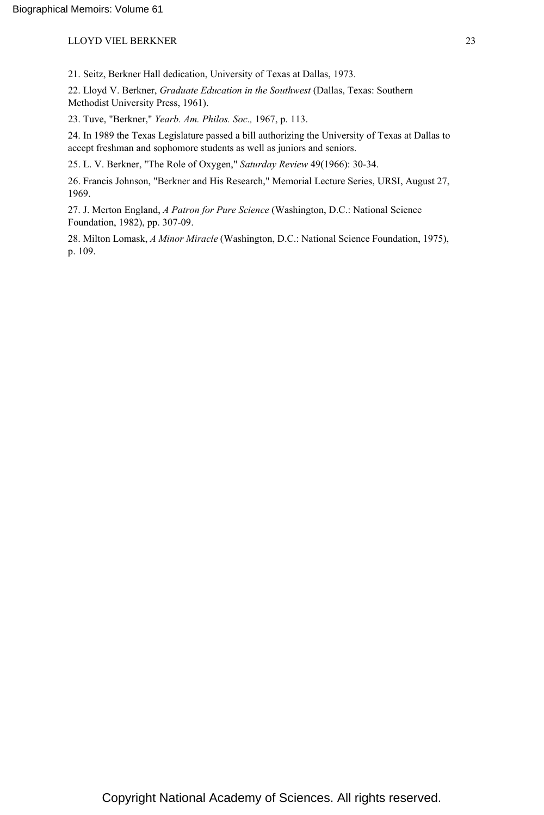<span id="page-21-0"></span>21. Seitz, Berkner Hall dedication, University of Texas at Dallas, 1973.

22. Lloyd V. Berkner, *Graduate Education in the Southwest* (Dallas, Texas: Southern Methodist University Press, 1961).

23. Tuve, "Berkner," *Yearb. Am. Philos. Soc.,* 1967, p. 113.

24. In 1989 the Texas Legislature passed a bill authorizing the University of Texas at Dallas to accept freshman and sophomore students as well as juniors and seniors.

25. L. V. Berkner, "The Role of Oxygen," *Saturday Review* 49(1966): 30-34.

26. Francis Johnson, "Berkner and His Research," Memorial Lecture Series, URSI, August 27, 1969.

27. J. Merton England, *A Patron for Pure Science* (Washington, D.C.: National Science Foundation, 1982), pp. 307-09.

28. Milton Lomask, *A Minor Miracle* (Washington, D.C.: National Science Foundation, 1975), p. 109.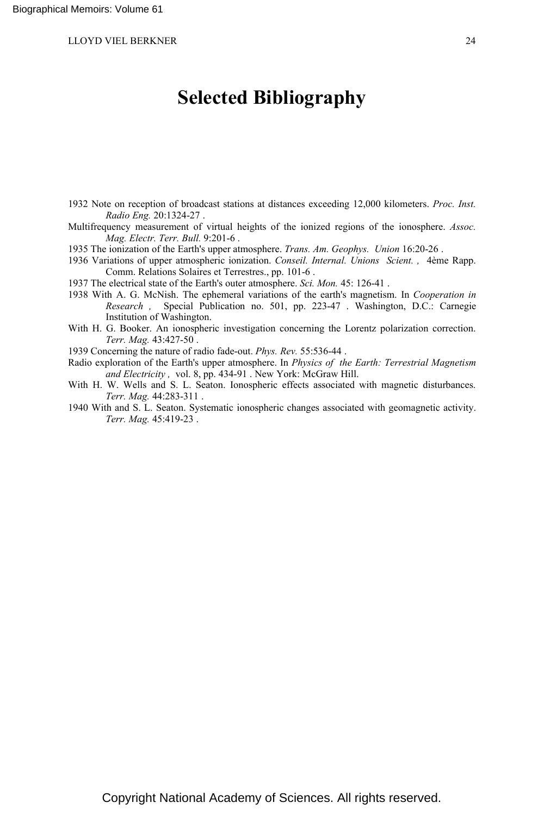# **Selected Bibliography**

- 1932 Note on reception of broadcast stations at distances exceeding 12,000 kilometers. *Proc. Inst. Radio Eng.* 20:1324-27 .
- Multifrequency measurement of virtual heights of the ionized regions of the ionosphere. *Assoc. Mag. Electr. Terr. Bull.* 9:201-6 .
- 1935 The ionization of the Earth's upper atmosphere. *Trans. Am. Geophys. Union* 16:20-26 .
- 1936 Variations of upper atmospheric ionization. *Conseil. Internal. Unions Scient. ,* 4ème Rapp. Comm. Relations Solaires et Terrestres., pp. 101-6 .
- 1937 The electrical state of the Earth's outer atmosphere. *Sci. Mon.* 45: 126-41 .
- 1938 With A. G. McNish. The ephemeral variations of the earth's magnetism. In *Cooperation in Research ,* Special Publication no. 501, pp. 223-47 . Washington, D.C.: Carnegie Institution of Washington.
- With H. G. Booker. An ionospheric investigation concerning the Lorentz polarization correction. *Terr. Mag.* 43:427-50 .
- 1939 Concerning the nature of radio fade-out. *Phys. Rev.* 55:536-44 .
- Radio exploration of the Earth's upper atmosphere. In *Physics of the Earth: Terrestrial Magnetism and Electricity ,* vol. 8, pp. 434-91 . New York: McGraw Hill.
- With H. W. Wells and S. L. Seaton. Ionospheric effects associated with magnetic disturbances. *Terr. Mag.* 44:283-311 .
- 1940 With and S. L. Seaton. Systematic ionospheric changes associated with geomagnetic activity. *Terr. Mag.* 45:419-23 .